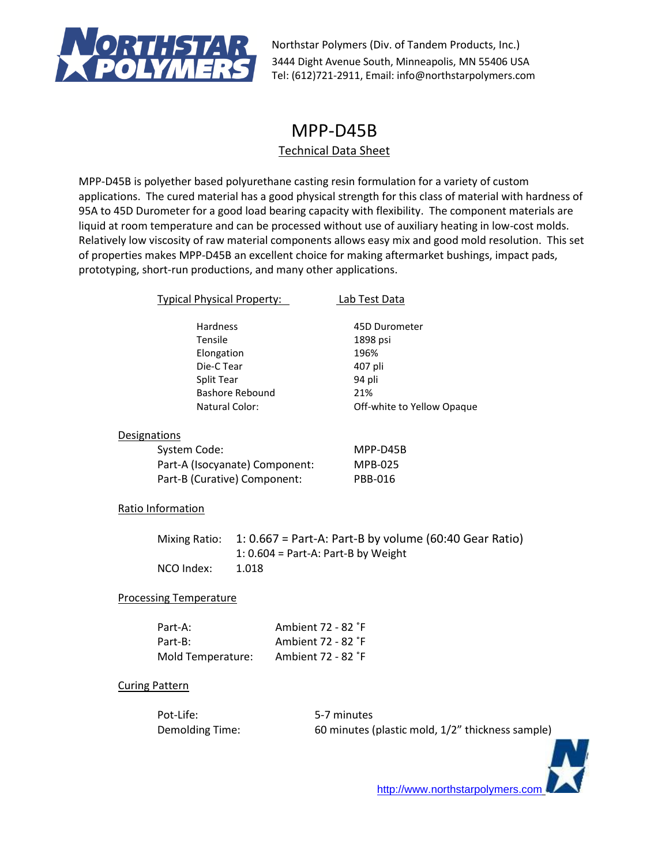

# MPP-D45B

# Technical Data Sheet

MPP-D45B is polyether based polyurethane casting resin formulation for a variety of custom applications. The cured material has a good physical strength for this class of material with hardness of 95A to 45D Durometer for a good load bearing capacity with flexibility. The component materials are liquid at room temperature and can be processed without use of auxiliary heating in low-cost molds. Relatively low viscosity of raw material components allows easy mix and good mold resolution. This set of properties makes MPP-D45B an excellent choice for making aftermarket bushings, impact pads, prototyping, short-run productions, and many other applications.

| Typical Physical Property:     | Lab Test Data              |
|--------------------------------|----------------------------|
| Hardness                       | 45D Durometer              |
| Tensile                        | 1898 psi                   |
| Elongation                     | 196%                       |
| Die-C Tear                     | 407 pli                    |
| Split Tear                     | 94 pli                     |
| <b>Bashore Rebound</b>         | 21%                        |
| <b>Natural Color:</b>          | Off-white to Yellow Opaque |
| Designations                   |                            |
| System Code:                   | MPP-D45B                   |
| Part-A (Isocyanate) Component: | <b>MPB-025</b>             |
| Part-B (Curative) Component:   | PBB-016                    |
| $D = 11 + 1.$                  |                            |

# Ratio Information

|            | Mixing Ratio: $1: 0.667 = Part-A$ : Part-B by volume (60:40 Gear Ratio) |
|------------|-------------------------------------------------------------------------|
|            | 1: $0.604$ = Part-A: Part-B by Weight                                   |
| NCO Index: | 1.018                                                                   |

# Processing Temperature

| Part-A:           | Ambient 72 - 82 °F |
|-------------------|--------------------|
| Part-B:           | Ambient 72 - 82 °F |
| Mold Temperature: | Ambient 72 - 82 °F |

# Curing Pattern

Pot-Life: 5-7 minutes

Demolding Time: 60 minutes (plastic mold, 1/2" thickness sample)

[http://www.northstarpolymers.com](http://www.northstarpolymers.com/)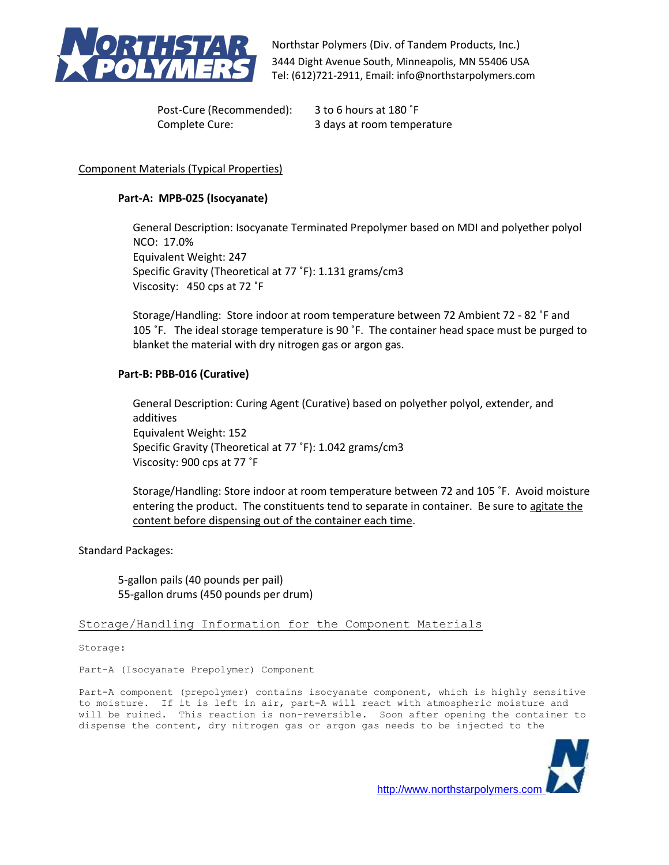

Post-Cure (Recommended): 3 to 6 hours at 180 ˚F

Complete Cure: 3 days at room temperature

# Component Materials (Typical Properties)

### **Part-A: MPB-025 (Isocyanate)**

General Description: Isocyanate Terminated Prepolymer based on MDI and polyether polyol NCO: 17.0% Equivalent Weight: 247 Specific Gravity (Theoretical at 77 ˚F): 1.131 grams/cm3 Viscosity: 450 cps at 72 ˚F

Storage/Handling: Store indoor at room temperature between 72 Ambient 72 - 82 ˚F and 105 ˚F. The ideal storage temperature is 90 ˚F. The container head space must be purged to blanket the material with dry nitrogen gas or argon gas.

### **Part-B: PBB-016 (Curative)**

General Description: Curing Agent (Curative) based on polyether polyol, extender, and additives Equivalent Weight: 152 Specific Gravity (Theoretical at 77 ˚F): 1.042 grams/cm3 Viscosity: 900 cps at 77 ˚F

Storage/Handling: Store indoor at room temperature between 72 and 105 ˚F. Avoid moisture entering the product. The constituents tend to separate in container. Be sure to agitate the content before dispensing out of the container each time.

Standard Packages:

5-gallon pails (40 pounds per pail) 55-gallon drums (450 pounds per drum)

Storage/Handling Information for the Component Materials

Storage:

Part-A (Isocyanate Prepolymer) Component

Part-A component (prepolymer) contains isocyanate component, which is highly sensitive to moisture. If it is left in air, part-A will react with atmospheric moisture and will be ruined. This reaction is non-reversible. Soon after opening the container to dispense the content, dry nitrogen gas or argon gas needs to be injected to the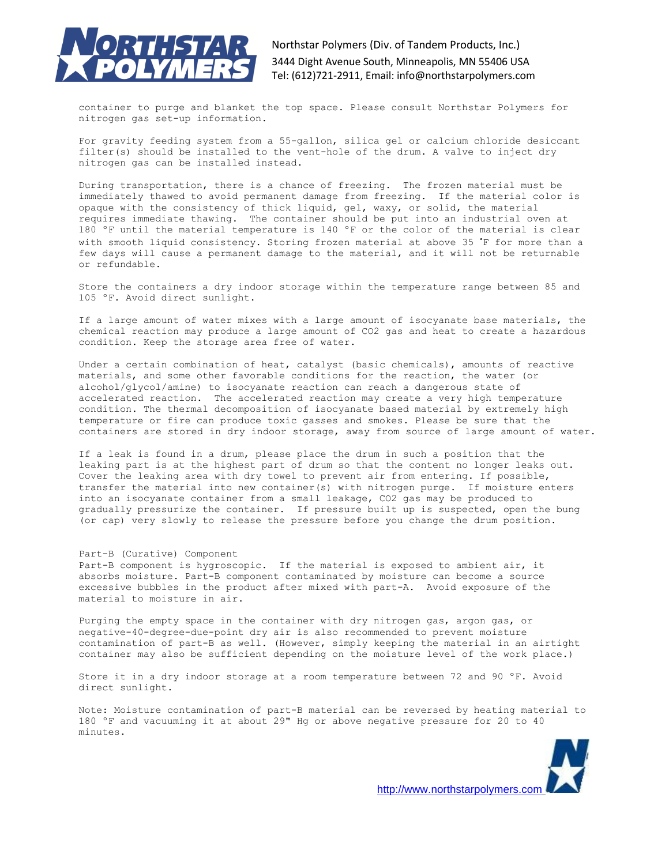

container to purge and blanket the top space. Please consult Northstar Polymers for nitrogen gas set-up information.

For gravity feeding system from a 55-gallon, silica gel or calcium chloride desiccant filter(s) should be installed to the vent-hole of the drum. A valve to inject dry nitrogen gas can be installed instead.

During transportation, there is a chance of freezing. The frozen material must be immediately thawed to avoid permanent damage from freezing. If the material color is opaque with the consistency of thick liquid, gel, waxy, or solid, the material requires immediate thawing. The container should be put into an industrial oven at 180 ºF until the material temperature is 140 ºF or the color of the material is clear with smooth liquid consistency. Storing frozen material at above 35 ˚F for more than a few days will cause a permanent damage to the material, and it will not be returnable or refundable.

Store the containers a dry indoor storage within the temperature range between 85 and 105 ºF. Avoid direct sunlight.

If a large amount of water mixes with a large amount of isocyanate base materials, the chemical reaction may produce a large amount of CO2 gas and heat to create a hazardous condition. Keep the storage area free of water.

Under a certain combination of heat, catalyst (basic chemicals), amounts of reactive materials, and some other favorable conditions for the reaction, the water (or alcohol/glycol/amine) to isocyanate reaction can reach a dangerous state of accelerated reaction. The accelerated reaction may create a very high temperature condition. The thermal decomposition of isocyanate based material by extremely high temperature or fire can produce toxic gasses and smokes. Please be sure that the containers are stored in dry indoor storage, away from source of large amount of water.

If a leak is found in a drum, please place the drum in such a position that the leaking part is at the highest part of drum so that the content no longer leaks out. Cover the leaking area with dry towel to prevent air from entering. If possible, transfer the material into new container(s) with nitrogen purge. If moisture enters into an isocyanate container from a small leakage, CO2 gas may be produced to gradually pressurize the container. If pressure built up is suspected, open the bung (or cap) very slowly to release the pressure before you change the drum position.

#### Part-B (Curative) Component

Part-B component is hygroscopic. If the material is exposed to ambient air, it absorbs moisture. Part-B component contaminated by moisture can become a source excessive bubbles in the product after mixed with part-A. Avoid exposure of the material to moisture in air.

Purging the empty space in the container with dry nitrogen gas, argon gas, or negative-40-degree-due-point dry air is also recommended to prevent moisture contamination of part-B as well. (However, simply keeping the material in an airtight container may also be sufficient depending on the moisture level of the work place.)

Store it in a dry indoor storage at a room temperature between 72 and 90 ºF. Avoid direct sunlight.

Note: Moisture contamination of part-B material can be reversed by heating material to 180 ºF and vacuuming it at about 29" Hg or above negative pressure for 20 to 40 minutes.